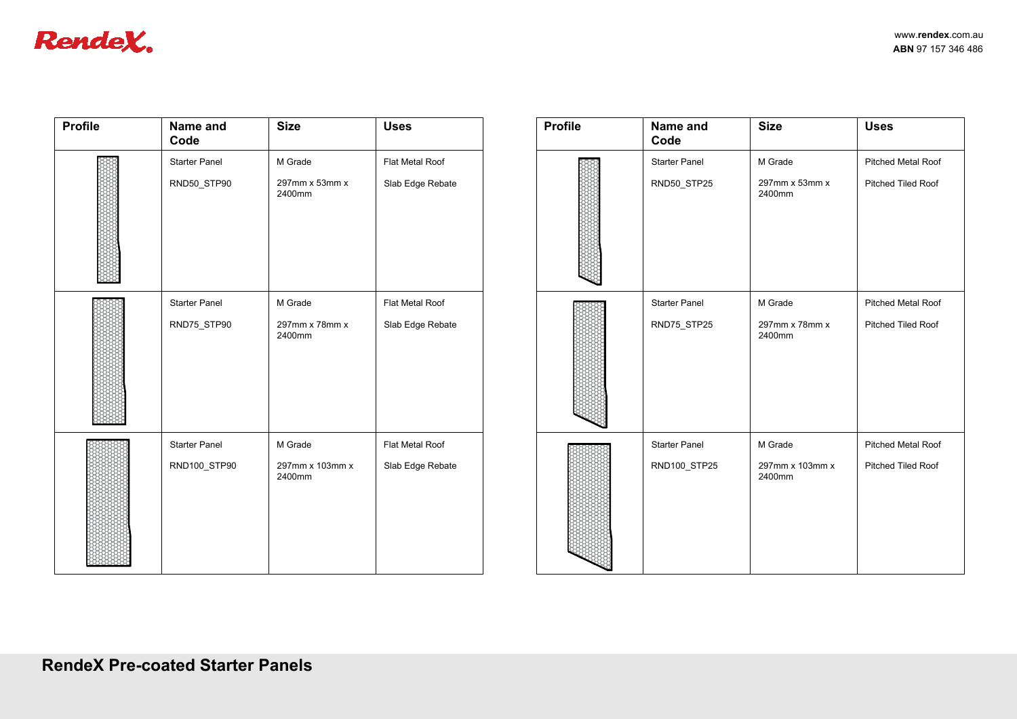| <b>lendeX.</b> |                                      |                                      |                                     |                |                                      |                                      |                    |
|----------------|--------------------------------------|--------------------------------------|-------------------------------------|----------------|--------------------------------------|--------------------------------------|--------------------|
| <b>Profile</b> | Name and<br>Code                     | <b>Size</b>                          | <b>Uses</b>                         | <b>Profile</b> | Name and<br>Code                     | <b>Size</b>                          | <b>Uses</b>        |
|                | <b>Starter Panel</b><br>RND50_STP90  | M Grade<br>297mm x 53mm x<br>2400mm  | Flat Metal Roof<br>Slab Edge Rebate |                | <b>Starter Panel</b><br>RND50_STP25  | M Grade<br>297mm x 53mm x<br>2400mm  | Pitched<br>Pitched |
|                | <b>Starter Panel</b><br>RND75_STP90  | M Grade<br>297mm x 78mm x<br>2400mm  | Flat Metal Roof<br>Slab Edge Rebate |                | <b>Starter Panel</b><br>RND75_STP25  | M Grade<br>297mm x 78mm x<br>2400mm  | Pitched<br>Pitched |
|                | <b>Starter Panel</b><br>RND100_STP90 | M Grade<br>297mm x 103mm x<br>2400mm | Flat Metal Roof<br>Slab Edge Rebate |                | <b>Starter Panel</b><br>RND100_STP25 | M Grade<br>297mm x 103mm x<br>2400mm | Pitched<br>Pitched |

|                                      |                                     |                |                                      |                                      | www.rendex.com.au                        |
|--------------------------------------|-------------------------------------|----------------|--------------------------------------|--------------------------------------|------------------------------------------|
| Size                                 | <b>Uses</b>                         | <b>Profile</b> | Name and<br>Code                     | <b>Size</b>                          | ABN 97 157 346 486<br><b>Uses</b>        |
| M Grade<br>297mm x 53mm x<br>2400mm  | Flat Metal Roof<br>Slab Edge Rebate |                | <b>Starter Panel</b><br>RND50_STP25  | M Grade<br>297mm x 53mm x<br>2400mm  | Pitched Metal Roof<br>Pitched Tiled Roof |
| M Grade<br>297mm x 78mm x<br>2400mm  | Flat Metal Roof<br>Slab Edge Rebate |                | <b>Starter Panel</b><br>RND75_STP25  | M Grade<br>297mm x 78mm x<br>2400mm  | Pitched Metal Roof<br>Pitched Tiled Roof |
| M Grade<br>297mm x 103mm x<br>2400mm | Flat Metal Roof<br>Slab Edge Rebate |                | <b>Starter Panel</b><br>RND100_STP25 | M Grade<br>297mm x 103mm x<br>2400mm | Pitched Metal Roof<br>Pitched Tiled Roof |